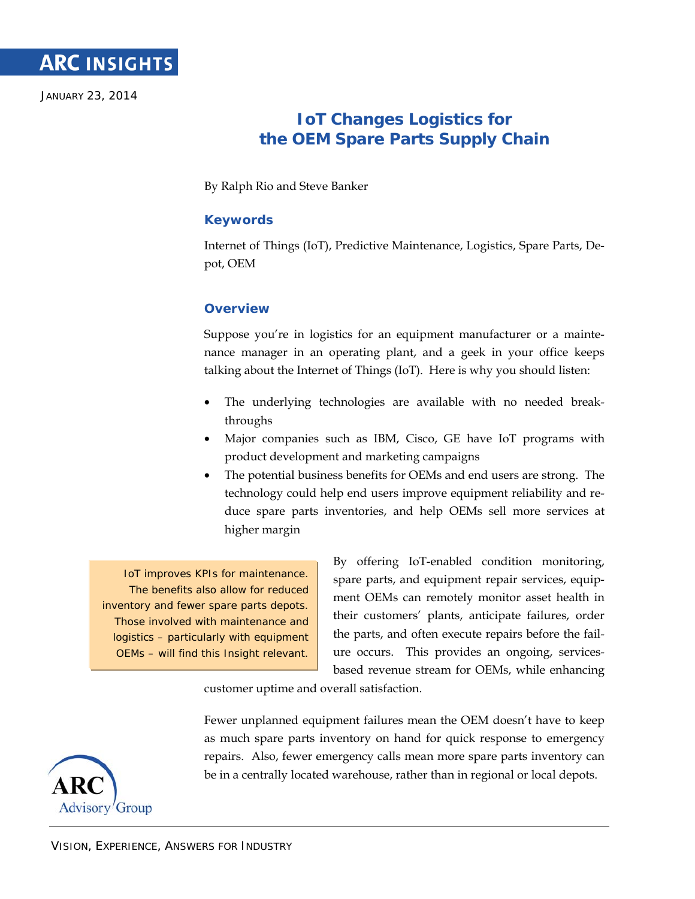

JANUARY 23, 2014

# **IoT Changes Logistics for the OEM Spare Parts Supply Chain**

By Ralph Rio and Steve Banker

# **Keywords**

Internet of Things (IoT), Predictive Maintenance, Logistics, Spare Parts, Depot, OEM

# **Overview**

Suppose you're in logistics for an equipment manufacturer or a maintenance manager in an operating plant, and a geek in your office keeps talking about the Internet of Things (IoT). Here is why you should listen:

- The underlying technologies are available with no needed breakthroughs
- Major companies such as IBM, Cisco, GE have IoT programs with product development and marketing campaigns
- The potential business benefits for OEMs and end users are strong. The technology could help end users improve equipment reliability and reduce spare parts inventories, and help OEMs sell more services at higher margin

IoT improves KPIs for maintenance. The benefits also allow for reduced inventory and fewer spare parts depots. Those involved with maintenance and logistics – particularly with equipment OEMs – will find this Insight relevant.

By offering IoT-enabled condition monitoring, spare parts, and equipment repair services, equipment OEMs can remotely monitor asset health in their customers' plants, anticipate failures, order the parts, and often execute repairs before the failure occurs. This provides an ongoing, servicesbased revenue stream for OEMs, while enhancing

customer uptime and overall satisfaction.

Fewer unplanned equipment failures mean the OEM doesn't have to keep as much spare parts inventory on hand for quick response to emergency repairs. Also, fewer emergency calls mean more spare parts inventory can be in a centrally located warehouse, rather than in regional or local depots.

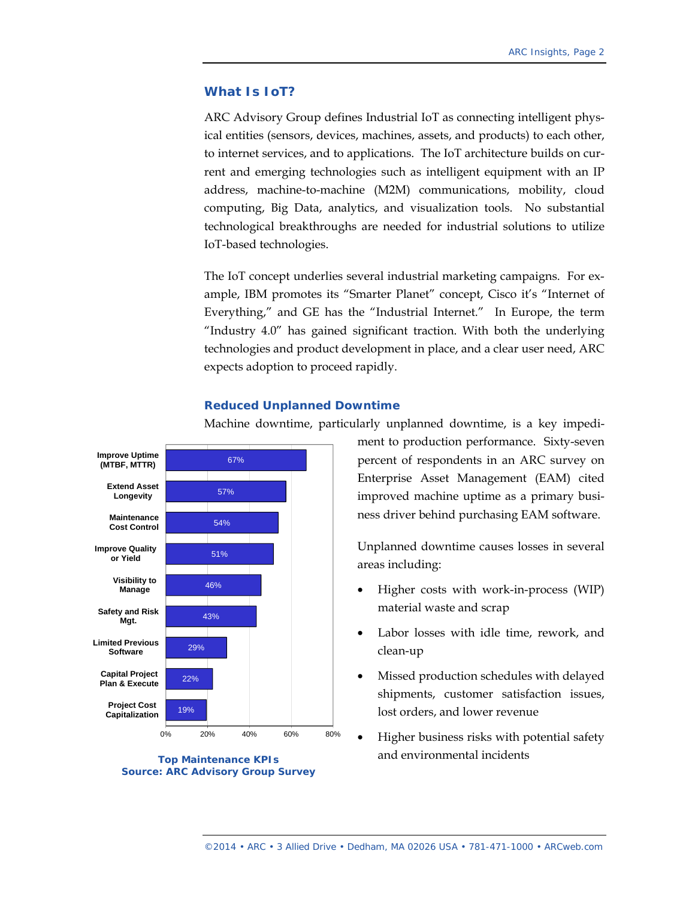#### **What Is IoT?**

ARC Advisory Group defines Industrial IoT as connecting intelligent physical entities (sensors, devices, machines, assets, and products) to each other, to internet services, and to applications. The IoT architecture builds on current and emerging technologies such as intelligent equipment with an IP address, machine-to-machine (M2M) communications, mobility, cloud computing, Big Data, analytics, and visualization tools. No substantial technological breakthroughs are needed for industrial solutions to utilize IoT-based technologies.

The IoT concept underlies several industrial marketing campaigns. For example, IBM promotes its "Smarter Planet" concept, Cisco it's "Internet of Everything," and GE has the "Industrial Internet." In Europe, the term "Industry 4.0" has gained significant traction. With both the underlying technologies and product development in place, and a clear user need, ARC expects adoption to proceed rapidly.

## **Reduced Unplanned Downtime**

Machine downtime, particularly unplanned downtime, is a key impedi-



**Source: ARC Advisory Group Survey** 

ment to production performance. Sixty-seven percent of respondents in an ARC survey on Enterprise Asset Management (EAM) cited improved machine uptime as a primary business driver behind purchasing EAM software.

Unplanned downtime causes losses in several areas including:

- Higher costs with work-in-process (WIP) material waste and scrap
- Labor losses with idle time, rework, and clean-up
- Missed production schedules with delayed shipments, customer satisfaction issues, lost orders, and lower revenue
- Higher business risks with potential safety and environmental incidents **Top Maintenance KPIs**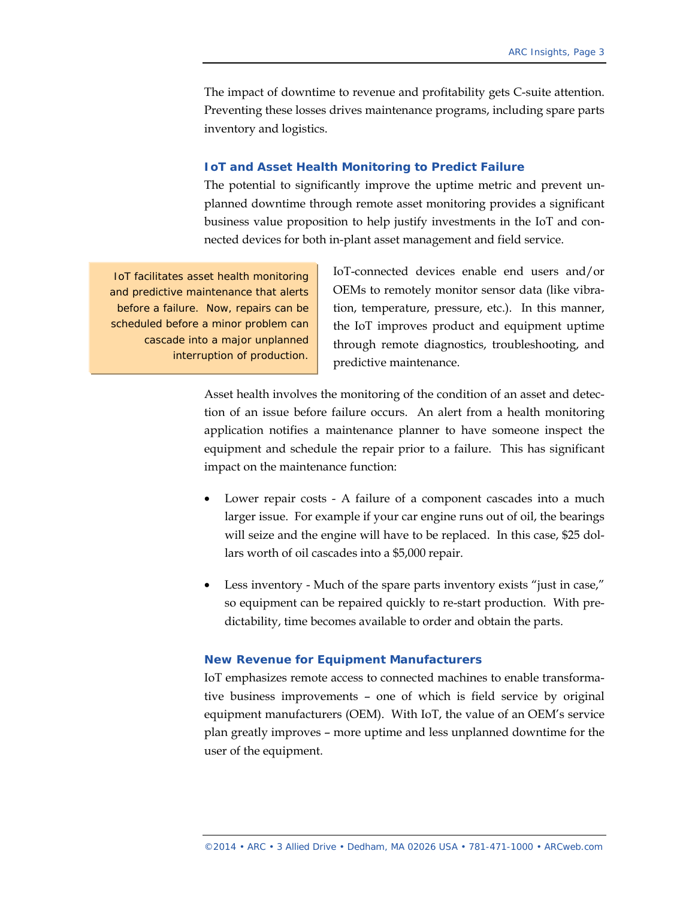The impact of downtime to revenue and profitability gets C-suite attention. Preventing these losses drives maintenance programs, including spare parts inventory and logistics.

#### **IoT and Asset Health Monitoring to Predict Failure**

The potential to significantly improve the uptime metric and prevent unplanned downtime through remote asset monitoring provides a significant business value proposition to help justify investments in the IoT and connected devices for both in-plant asset management and field service.

IoT facilitates asset health monitoring and predictive maintenance that alerts before a failure. Now, repairs can be scheduled before a minor problem can cascade into a major unplanned interruption of production.

IoT-connected devices enable end users and/or OEMs to remotely monitor sensor data (like vibration, temperature, pressure, etc.). In this manner, the IoT improves product and equipment uptime through remote diagnostics, troubleshooting, and predictive maintenance.

Asset health involves the monitoring of the condition of an asset and detection of an issue before failure occurs. An alert from a health monitoring application notifies a maintenance planner to have someone inspect the equipment and schedule the repair prior to a failure. This has significant impact on the maintenance function:

- Lower repair costs A failure of a component cascades into a much larger issue. For example if your car engine runs out of oil, the bearings will seize and the engine will have to be replaced. In this case, \$25 dollars worth of oil cascades into a \$5,000 repair.
- Less inventory Much of the spare parts inventory exists "just in case," so equipment can be repaired quickly to re-start production. With predictability, time becomes available to order and obtain the parts.

#### **New Revenue for Equipment Manufacturers**

IoT emphasizes remote access to connected machines to enable transformative business improvements – one of which is field service by original equipment manufacturers (OEM). With IoT, the value of an OEM's service plan greatly improves – more uptime and less unplanned downtime for the user of the equipment.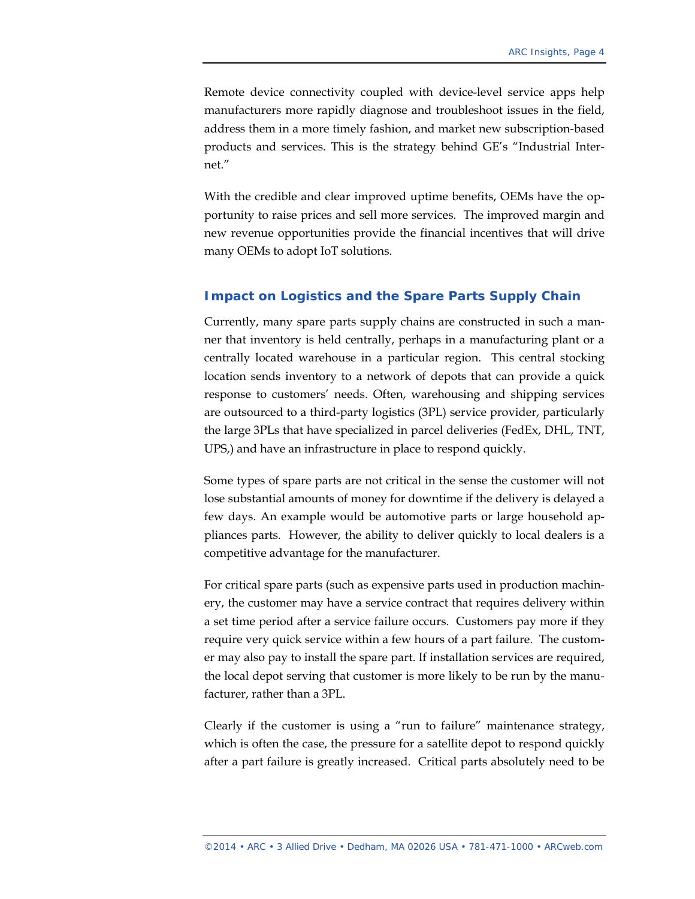Remote device connectivity coupled with device-level service apps help manufacturers more rapidly diagnose and troubleshoot issues in the field, address them in a more timely fashion, and market new subscription-based products and services. This is the strategy behind GE's "Industrial Internet."

With the credible and clear improved uptime benefits, OEMs have the opportunity to raise prices and sell more services. The improved margin and new revenue opportunities provide the financial incentives that will drive many OEMs to adopt IoT solutions.

## **Impact on Logistics and the Spare Parts Supply Chain**

Currently, many spare parts supply chains are constructed in such a manner that inventory is held centrally, perhaps in a manufacturing plant or a centrally located warehouse in a particular region. This central stocking location sends inventory to a network of depots that can provide a quick response to customers' needs. Often, warehousing and shipping services are outsourced to a third-party logistics (3PL) service provider, particularly the large 3PLs that have specialized in parcel deliveries (FedEx, DHL, TNT, UPS,) and have an infrastructure in place to respond quickly.

Some types of spare parts are not critical in the sense the customer will not lose substantial amounts of money for downtime if the delivery is delayed a few days. An example would be automotive parts or large household appliances parts. However, the ability to deliver quickly to local dealers is a competitive advantage for the manufacturer.

For critical spare parts (such as expensive parts used in production machinery, the customer may have a service contract that requires delivery within a set time period after a service failure occurs. Customers pay more if they require very quick service within a few hours of a part failure. The customer may also pay to install the spare part. If installation services are required, the local depot serving that customer is more likely to be run by the manufacturer, rather than a 3PL.

Clearly if the customer is using a "run to failure" maintenance strategy, which is often the case, the pressure for a satellite depot to respond quickly after a part failure is greatly increased. Critical parts absolutely need to be